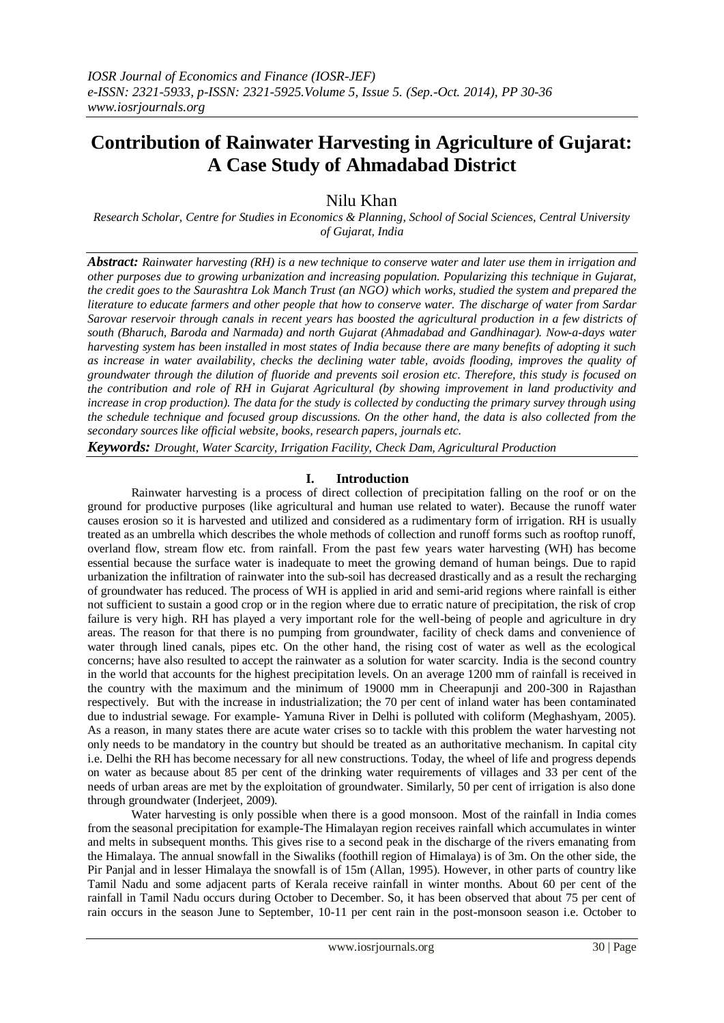# **Contribution of Rainwater Harvesting in Agriculture of Gujarat: A Case Study of Ahmadabad District**

# Nilu Khan

*Research Scholar, Centre for Studies in Economics & Planning, School of Social Sciences, Central University of Gujarat, India*

*Abstract: Rainwater harvesting (RH) is a new technique to conserve water and later use them in irrigation and other purposes due to growing urbanization and increasing population. Popularizing this technique in Gujarat, the credit goes to the Saurashtra Lok Manch Trust (an NGO) which works, studied the system and prepared the literature to educate farmers and other people that how to conserve water. The discharge of water from Sardar Sarovar reservoir through canals in recent years has boosted the agricultural production in a few districts of south (Bharuch, Baroda and Narmada) and north Gujarat (Ahmadabad and Gandhinagar). Now-a-days water harvesting system has been installed in most states of India because there are many benefits of adopting it such as increase in water availability, checks the declining water table, avoids flooding, improves the quality of groundwater through the dilution of fluoride and prevents soil erosion etc. Therefore, this study is focused on the contribution and role of RH in Gujarat Agricultural (by showing improvement in land productivity and increase in crop production). The data for the study is collected by conducting the primary survey through using the schedule technique and focused group discussions. On the other hand, the data is also collected from the secondary sources like official website, books, research papers, journals etc.*

*Keywords: Drought, Water Scarcity, Irrigation Facility, Check Dam, Agricultural Production*

## **I. Introduction**

Rainwater harvesting is a process of direct collection of precipitation falling on the roof or on the ground for productive purposes (like agricultural and human use related to water). Because the runoff water causes erosion so it is harvested and utilized and considered as a rudimentary form of irrigation. RH is usually treated as an umbrella which describes the whole methods of collection and runoff forms such as rooftop runoff, overland flow, stream flow etc. from rainfall. From the past few years water harvesting (WH) has become essential because the surface water is inadequate to meet the growing demand of human beings. Due to rapid urbanization the infiltration of rainwater into the sub-soil has decreased drastically and as a result the recharging of groundwater has reduced. The process of WH is applied in arid and semi-arid regions where rainfall is either not sufficient to sustain a good crop or in the region where due to erratic nature of precipitation, the risk of crop failure is very high. RH has played a very important role for the well-being of people and agriculture in dry areas. The reason for that there is no pumping from groundwater, facility of check dams and convenience of water through lined canals, pipes etc. On the other hand, the rising cost of water as well as the ecological concerns; have also resulted to accept the rainwater as a solution for water scarcity. India is the second country in the world that accounts for the highest precipitation levels. On an average 1200 mm of rainfall is received in the country with the maximum and the minimum of 19000 mm in Cheerapunji and 200-300 in Rajasthan respectively. But with the increase in industrialization; the 70 per cent of inland water has been contaminated due to industrial sewage. For example- Yamuna River in Delhi is polluted with coliform (Meghashyam, 2005). As a reason, in many states there are acute water crises so to tackle with this problem the water harvesting not only needs to be mandatory in the country but should be treated as an authoritative mechanism. In capital city i.e. Delhi the RH has become necessary for all new constructions. Today, the wheel of life and progress depends on water as because about 85 per cent of the drinking water requirements of villages and 33 per cent of the needs of urban areas are met by the exploitation of groundwater. Similarly, 50 per cent of irrigation is also done through groundwater (Inderjeet, 2009).

Water harvesting is only possible when there is a good monsoon. Most of the rainfall in India comes from the seasonal precipitation for example-The Himalayan region receives rainfall which accumulates in winter and melts in subsequent months. This gives rise to a second peak in the discharge of the rivers emanating from the Himalaya. The annual snowfall in the Siwaliks (foothill region of Himalaya) is of 3m. On the other side, the Pir Panjal and in lesser Himalaya the snowfall is of 15m (Allan, 1995). However, in other parts of country like Tamil Nadu and some adjacent parts of Kerala receive rainfall in winter months. About 60 per cent of the rainfall in Tamil Nadu occurs during October to December. So, it has been observed that about 75 per cent of rain occurs in the season June to September, 10-11 per cent rain in the post-monsoon season i.e. October to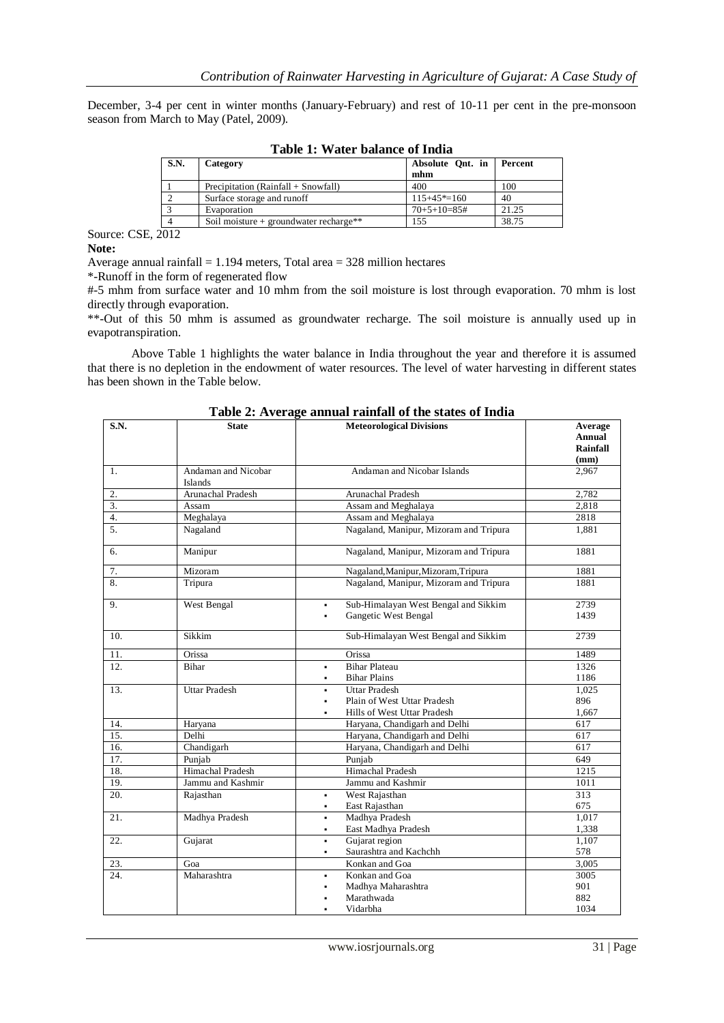December, 3-4 per cent in winter months (January-February) and rest of 10-11 per cent in the pre-monsoon season from March to May (Patel, 2009).

| radic re evaluativamente di rituria |                                        |                  |         |  |  |
|-------------------------------------|----------------------------------------|------------------|---------|--|--|
| S.N.                                | Category                               | Absolute Ont. in | Percent |  |  |
|                                     |                                        | mhm              |         |  |  |
|                                     | Precipitation (Rainfall + Snowfall)    | 400              | 100     |  |  |
|                                     | Surface storage and runoff             | $115+45* = 160$  | 40      |  |  |
|                                     | Evaporation                            | $70+5+10=85#$    | 21.25   |  |  |
|                                     | Soil moisture + groundwater recharge** | 155              | 38.75   |  |  |

**Table 1: Water balance of India**

Source: CSE, 2012 **Note:**

Average annual rainfall  $= 1.194$  meters, Total area  $= 328$  million hectares

\*-Runoff in the form of regenerated flow

#-5 mhm from surface water and 10 mhm from the soil moisture is lost through evaporation. 70 mhm is lost directly through evaporation.

\*\*-Out of this 50 mhm is assumed as groundwater recharge. The soil moisture is annually used up in evapotranspiration.

Above Table 1 highlights the water balance in India throughout the year and therefore it is assumed that there is no depletion in the endowment of water resources. The level of water harvesting in different states has been shown in the Table below.

| S.N.              | <b>State</b>                   | <b>Meteorological Divisions</b>                                                                  | Average<br>Annual<br>Rainfall<br>(mm) |
|-------------------|--------------------------------|--------------------------------------------------------------------------------------------------|---------------------------------------|
| 1.                | Andaman and Nicobar<br>Islands | Andaman and Nicobar Islands                                                                      | 2,967                                 |
| 2.                | Arunachal Pradesh              | Arunachal Pradesh                                                                                | 2.782                                 |
| 3.                | Assam                          | Assam and Meghalaya                                                                              | 2,818                                 |
| 4.                | Meghalaya                      | Assam and Meghalaya                                                                              | 2818                                  |
| $\overline{5}$ .  | Nagaland                       | Nagaland, Manipur, Mizoram and Tripura                                                           | 1,881                                 |
| 6.                | Manipur                        | Nagaland, Manipur, Mizoram and Tripura                                                           | 1881                                  |
| 7.                | Mizoram                        | Nagaland, Manipur, Mizoram, Tripura                                                              | 1881                                  |
| 8.                | Tripura                        | Nagaland, Manipur, Mizoram and Tripura                                                           | 1881                                  |
| 9.                | West Bengal                    | Sub-Himalayan West Bengal and Sikkim<br>$\blacksquare$<br>Gangetic West Bengal<br>$\blacksquare$ | 2739<br>1439                          |
| 10.               | Sikkim                         | Sub-Himalayan West Bengal and Sikkim                                                             | 2739                                  |
| 11.               | Orissa                         | Orissa                                                                                           | 1489                                  |
| 12.               | Bihar                          | <b>Bihar Plateau</b><br>$\blacksquare$                                                           | 1326                                  |
|                   |                                | <b>Bihar Plains</b><br>$\blacksquare$                                                            | 1186                                  |
| 13.               | <b>Uttar Pradesh</b>           | <b>Uttar Pradesh</b>                                                                             | 1.025                                 |
|                   |                                | Plain of West Uttar Pradesh                                                                      | 896                                   |
|                   |                                | Hills of West Uttar Pradesh                                                                      | 1,667                                 |
| 14.               | Haryana                        | Haryana, Chandigarh and Delhi                                                                    | 617                                   |
| 15.               | Delhi                          | Haryana, Chandigarh and Delhi                                                                    | 617                                   |
| 16.               | Chandigarh                     | Haryana, Chandigarh and Delhi                                                                    | 617                                   |
| $\overline{17}$ . | Punjab                         | Punjab                                                                                           | 649                                   |
| 18.               | <b>Himachal Pradesh</b>        | <b>Himachal Pradesh</b>                                                                          | 1215                                  |
| 19.               | Jammu and Kashmir              | Jammu and Kashmir                                                                                | 1011                                  |
| 20.               | Rajasthan                      | West Rajasthan<br>٠                                                                              | 313                                   |
|                   |                                | East Rajasthan<br>$\blacksquare$                                                                 | 675                                   |
| 21.               | Madhya Pradesh                 | Madhya Pradesh<br>$\blacksquare$                                                                 | 1,017                                 |
|                   |                                | East Madhya Pradesh<br>٠                                                                         | 1,338                                 |
| 22.               | Gujarat                        | Gujarat region<br>٠                                                                              | 1,107                                 |
|                   |                                | Saurashtra and Kachchh<br>$\blacksquare$                                                         | 578                                   |
| 23.               | Goa                            | Konkan and Goa                                                                                   | 3,005                                 |
| 24.               | Maharashtra                    | Konkan and Goa                                                                                   | 3005                                  |
|                   |                                | Madhya Maharashtra                                                                               | 901                                   |
|                   |                                | Marathwada                                                                                       | 882                                   |
|                   |                                | Vidarbha                                                                                         | 1034                                  |

**Table 2: Average annual rainfall of the states of India**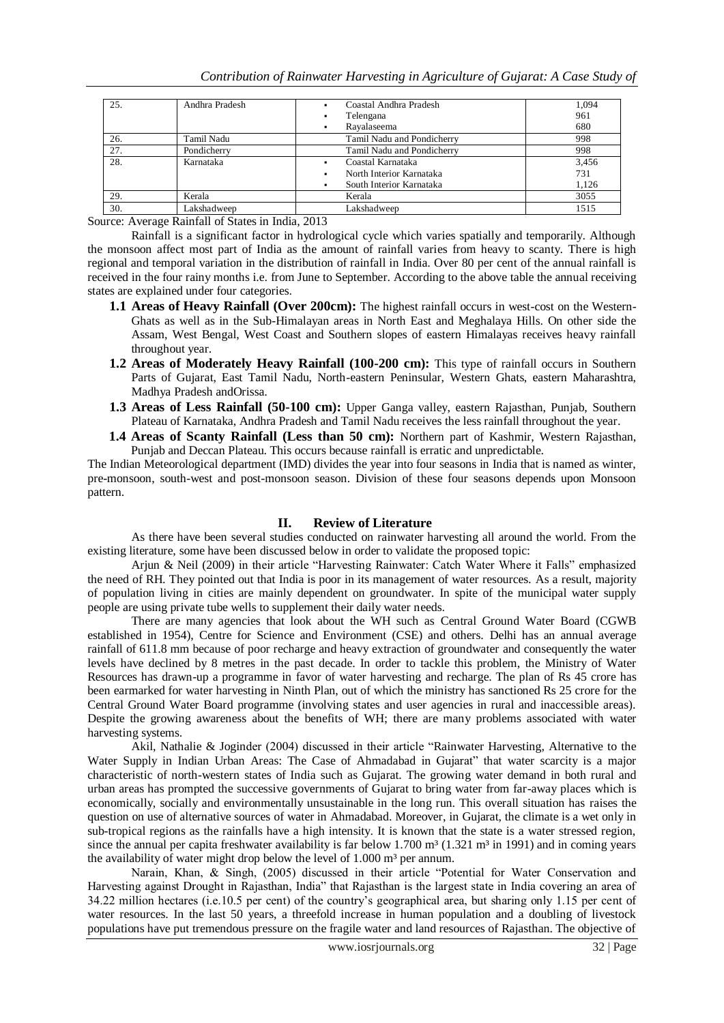| 25. | Andhra Pradesh | Coastal Andhra Pradesh<br>٠   | 1.094 |
|-----|----------------|-------------------------------|-------|
|     |                | Telengana<br>٠                | 961   |
|     |                | Rayalaseema<br>٠              | 680   |
| 26. | Tamil Nadu     | Tamil Nadu and Pondicherry    | 998   |
| 27. | Pondicherry    | Tamil Nadu and Pondicherry    | 998   |
| 28. | Karnataka      | Coastal Karnataka<br>٠        | 3,456 |
|     |                | North Interior Karnataka<br>٠ | 731   |
|     |                | South Interior Karnataka<br>٠ | 1,126 |
| 29. | Kerala         | Kerala                        | 3055  |
| 30. | Lakshadweep    | Lakshadweep                   | 1515  |

Source: Average Rainfall of States in India, 2013

Rainfall is a significant factor in hydrological cycle which varies spatially and temporarily. Although the monsoon affect most part of India as the amount of rainfall varies from heavy to scanty. There is high regional and temporal variation in the distribution of rainfall in India. Over 80 per cent of the annual rainfall is received in the four rainy months i.e. from June to September. According to the above table the annual receiving states are explained under four categories.

- **1.1 Areas of Heavy Rainfall (Over 200cm):** The highest rainfall occurs in west-cost on the Western-Ghats as well as in the Sub-Himalayan areas in North East and Meghalaya Hills. On other side the Assam, West Bengal, West Coast and Southern slopes of eastern Himalayas receives heavy rainfall throughout year.
- **1.2 Areas of Moderately Heavy Rainfall (100-200 cm):** This type of rainfall occurs in Southern Parts of Gujarat, East Tamil Nadu, North-eastern Peninsular, Western Ghats, eastern Maharashtra, Madhya Pradesh andOrissa.
- **1.3 Areas of Less Rainfall (50-100 cm):** Upper Ganga valley, eastern Rajasthan, Punjab, Southern Plateau of Karnataka, Andhra Pradesh and Tamil Nadu receives the less rainfall throughout the year.
- **1.4 Areas of Scanty Rainfall (Less than 50 cm):** Northern part of Kashmir, Western Rajasthan, Punjab and Deccan Plateau. This occurs because rainfall is erratic and unpredictable.

The Indian Meteorological department (IMD) divides the year into four seasons in India that is named as winter, pre-monsoon, south-west and post-monsoon season. Division of these four seasons depends upon Monsoon pattern.

## **II. Review of Literature**

As there have been several studies conducted on rainwater harvesting all around the world. From the existing literature, some have been discussed below in order to validate the proposed topic:

Arjun & Neil (2009) in their article "Harvesting Rainwater: Catch Water Where it Falls" emphasized the need of RH. They pointed out that India is poor in its management of water resources. As a result, majority of population living in cities are mainly dependent on groundwater. In spite of the municipal water supply people are using private tube wells to supplement their daily water needs.

There are many agencies that look about the WH such as Central Ground Water Board (CGWB established in 1954), Centre for Science and Environment (CSE) and others. Delhi has an annual average rainfall of 611.8 mm because of poor recharge and heavy extraction of groundwater and consequently the water levels have declined by 8 metres in the past decade. In order to tackle this problem, the Ministry of Water Resources has drawn-up a programme in favor of water harvesting and recharge. The plan of Rs 45 crore has been earmarked for water harvesting in Ninth Plan, out of which the ministry has sanctioned Rs 25 crore for the Central Ground Water Board programme (involving states and user agencies in rural and inaccessible areas). Despite the growing awareness about the benefits of WH; there are many problems associated with water harvesting systems.

Akil, Nathalie & Joginder (2004) discussed in their article "Rainwater Harvesting, Alternative to the Water Supply in Indian Urban Areas: The Case of Ahmadabad in Gujarat" that water scarcity is a major characteristic of north-western states of India such as Gujarat. The growing water demand in both rural and urban areas has prompted the successive governments of Gujarat to bring water from far-away places which is economically, socially and environmentally unsustainable in the long run. This overall situation has raises the question on use of alternative sources of water in Ahmadabad. Moreover, in Gujarat, the climate is a wet only in sub-tropical regions as the rainfalls have a high intensity. It is known that the state is a water stressed region, since the annual per capita freshwater availability is far below 1.700 m<sup>3</sup> (1.321 m<sup>3</sup> in 1991) and in coming years the availability of water might drop below the level of  $1.000 \text{ m}^3$  per annum.

Narain, Khan, & Singh, (2005) discussed in their article "Potential for Water Conservation and Harvesting against Drought in Rajasthan, India" that Rajasthan is the largest state in India covering an area of 34.22 million hectares (i.e.10.5 per cent) of the country's geographical area, but sharing only 1.15 per cent of water resources. In the last 50 years, a threefold increase in human population and a doubling of livestock populations have put tremendous pressure on the fragile water and land resources of Rajasthan. The objective of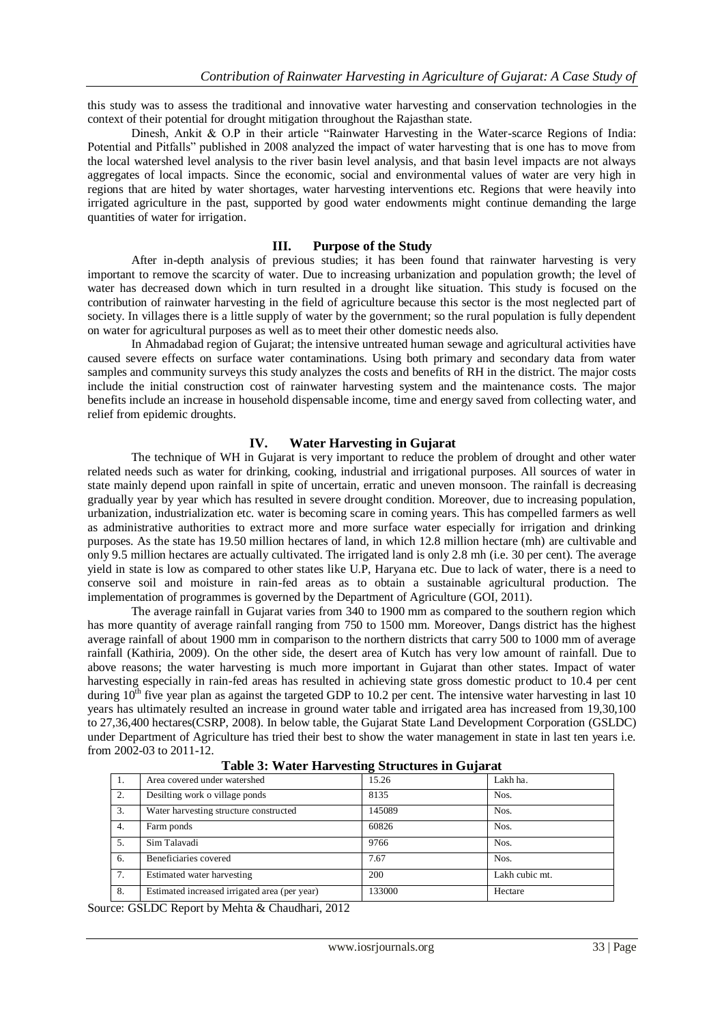this study was to assess the traditional and innovative water harvesting and conservation technologies in the context of their potential for drought mitigation throughout the Rajasthan state.

Dinesh, Ankit & O.P in their article "Rainwater Harvesting in the Water-scarce Regions of India: Potential and Pitfalls" published in 2008 analyzed the impact of water harvesting that is one has to move from the local watershed level analysis to the river basin level analysis, and that basin level impacts are not always aggregates of local impacts. Since the economic, social and environmental values of water are very high in regions that are hited by water shortages, water harvesting interventions etc. Regions that were heavily into irrigated agriculture in the past, supported by good water endowments might continue demanding the large quantities of water for irrigation.

#### **III. Purpose of the Study**

After in-depth analysis of previous studies; it has been found that rainwater harvesting is very important to remove the scarcity of water. Due to increasing urbanization and population growth; the level of water has decreased down which in turn resulted in a drought like situation. This study is focused on the contribution of rainwater harvesting in the field of agriculture because this sector is the most neglected part of society. In villages there is a little supply of water by the government; so the rural population is fully dependent on water for agricultural purposes as well as to meet their other domestic needs also.

In Ahmadabad region of Gujarat; the intensive untreated human sewage and agricultural activities have caused severe effects on surface water contaminations. Using both primary and secondary data from water samples and community surveys this study analyzes the costs and benefits of RH in the district. The major costs include the initial construction cost of rainwater harvesting system and the maintenance costs. The major benefits include an increase in household dispensable income, time and energy saved from collecting water, and relief from epidemic droughts.

#### **IV. Water Harvesting in Gujarat**

The technique of WH in Gujarat is very important to reduce the problem of drought and other water related needs such as water for drinking, cooking, industrial and irrigational purposes. All sources of water in state mainly depend upon rainfall in spite of uncertain, erratic and uneven monsoon. The rainfall is decreasing gradually year by year which has resulted in severe drought condition. Moreover, due to increasing population, urbanization, industrialization etc. water is becoming scare in coming years. This has compelled farmers as well as administrative authorities to extract more and more surface water especially for irrigation and drinking purposes. As the state has 19.50 million hectares of land, in which 12.8 million hectare (mh) are cultivable and only 9.5 million hectares are actually cultivated. The irrigated land is only 2.8 mh (i.e. 30 per cent). The average yield in state is low as compared to other states like U.P, Haryana etc. Due to lack of water, there is a need to conserve soil and moisture in rain-fed areas as to obtain a sustainable agricultural production. The implementation of programmes is governed by the Department of Agriculture (GOI, 2011).

The average rainfall in Gujarat varies from 340 to 1900 mm as compared to the southern region which has more quantity of average rainfall ranging from 750 to 1500 mm. Moreover, Dangs district has the highest average rainfall of about 1900 mm in comparison to the northern districts that carry 500 to 1000 mm of average rainfall (Kathiria, 2009). On the other side, the desert area of Kutch has very low amount of rainfall. Due to above reasons; the water harvesting is much more important in Gujarat than other states. Impact of water harvesting especially in rain-fed areas has resulted in achieving state gross domestic product to 10.4 per cent during  $10<sup>th</sup>$  five year plan as against the targeted GDP to 10.2 per cent. The intensive water harvesting in last 10 years has ultimately resulted an increase in ground water table and irrigated area has increased from 19,30,100 to 27,36,400 hectares(CSRP, 2008). In below table, the Gujarat State Land Development Corporation (GSLDC) under Department of Agriculture has tried their best to show the water management in state in last ten years i.e. from 2002-03 to 2011-12.

| Ι. | Area covered under watershed                  | 15.26  | Lakh ha.       |
|----|-----------------------------------------------|--------|----------------|
| 2. | Desilting work o village ponds                | 8135   | Nos.           |
| 3. | Water harvesting structure constructed        | 145089 | Nos.           |
| 4. | Farm ponds                                    | 60826  | Nos.           |
| 5. | Sim Talavadi                                  | 9766   | Nos.           |
| 6. | Beneficiaries covered                         | 7.67   | Nos.           |
| 7. | Estimated water harvesting                    | 200    | Lakh cubic mt. |
| 8. | Estimated increased irrigated area (per year) | 133000 | Hectare        |

#### **Table 3: Water Harvesting Structures in Gujarat**

Source: GSLDC Report by Mehta & Chaudhari, 2012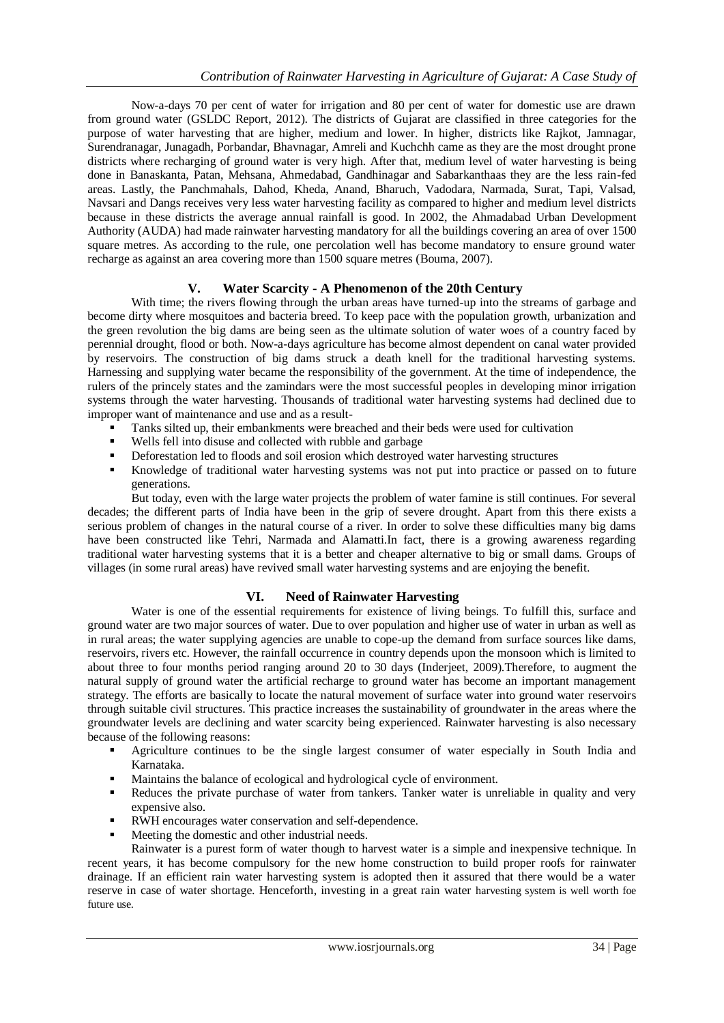Now-a-days 70 per cent of water for irrigation and 80 per cent of water for domestic use are drawn from ground water (GSLDC Report, 2012). The districts of Gujarat are classified in three categories for the purpose of water harvesting that are higher, medium and lower. In higher, districts like Rajkot, Jamnagar, Surendranagar, Junagadh, Porbandar, Bhavnagar, Amreli and Kuchchh came as they are the most drought prone districts where recharging of ground water is very high. After that, medium level of water harvesting is being done in Banaskanta, Patan, Mehsana, Ahmedabad, Gandhinagar and Sabarkanthaas they are the less rain-fed areas. Lastly, the Panchmahals, Dahod, Kheda, Anand, Bharuch, Vadodara, Narmada, Surat, Tapi, Valsad, Navsari and Dangs receives very less water harvesting facility as compared to higher and medium level districts because in these districts the average annual rainfall is good. In 2002, the Ahmadabad Urban Development Authority (AUDA) had made rainwater harvesting mandatory for all the buildings covering an area of over 1500 square metres. As according to the rule, one percolation well has become mandatory to ensure ground water recharge as against an area covering more than 1500 square metres (Bouma, 2007).

## **V. Water Scarcity - A Phenomenon of the 20th Century**

With time; the rivers flowing through the urban areas have turned-up into the streams of garbage and become dirty where mosquitoes and bacteria breed. To keep pace with the population growth, urbanization and the green revolution the big dams are being seen as the ultimate solution of water woes of a country faced by perennial drought, flood or both. Now-a-days agriculture has become almost dependent on canal water provided by reservoirs. The construction of big dams struck a death knell for the traditional harvesting systems. Harnessing and supplying water became the responsibility of the government. At the time of independence, the rulers of the princely states and the zamindars were the most successful peoples in developing minor irrigation systems through the water harvesting. Thousands of traditional water harvesting systems had declined due to improper want of maintenance and use and as a result-

- Tanks silted up, their embankments were breached and their beds were used for cultivation
- Wells fell into disuse and collected with rubble and garbage
- Deforestation led to floods and soil erosion which destroyed water harvesting structures
- Knowledge of traditional water harvesting systems was not put into practice or passed on to future generations.

But today, even with the large water projects the problem of water famine is still continues. For several decades; the different parts of India have been in the grip of severe drought. Apart from this there exists a serious problem of changes in the natural course of a river. In order to solve these difficulties many big dams have been constructed like Tehri, Narmada and Alamatti.In fact, there is a growing awareness regarding traditional water harvesting systems that it is a better and cheaper alternative to big or small dams. Groups of villages (in some rural areas) have revived small water harvesting systems and are enjoying the benefit.

## **VI. Need of Rainwater Harvesting**

Water is one of the essential requirements for existence of living beings. To fulfill this, surface and ground water are two major sources of water. Due to over population and higher use of water in urban as well as in rural areas; the water supplying agencies are unable to cope-up the demand from surface sources like dams, reservoirs, rivers etc. However, the rainfall occurrence in country depends upon the monsoon which is limited to about three to four months period ranging around 20 to 30 days (Inderjeet, 2009).Therefore, to augment the natural supply of ground water the artificial recharge to ground water has become an important management strategy. The efforts are basically to locate the natural movement of surface water into ground water reservoirs through suitable civil structures. This practice increases the sustainability of groundwater in the areas where the groundwater levels are declining and water scarcity being experienced. Rainwater harvesting is also necessary because of the following reasons:

- Agriculture continues to be the single largest consumer of water especially in South India and Karnataka.
- Maintains the balance of ecological and hydrological cycle of environment.
- Reduces the private purchase of water from tankers. Tanker water is unreliable in quality and very expensive also.
- RWH encourages water conservation and self-dependence.
- Meeting the domestic and other industrial needs.

Rainwater is a purest form of water though to harvest water is a simple and inexpensive technique. In recent years, it has become compulsory for the new home construction to build proper roofs for rainwater drainage. If an efficient rain water harvesting system is adopted then it assured that there would be a water reserve in case of water shortage. Henceforth, investing in a great rain water harvesting system is well worth foe future use.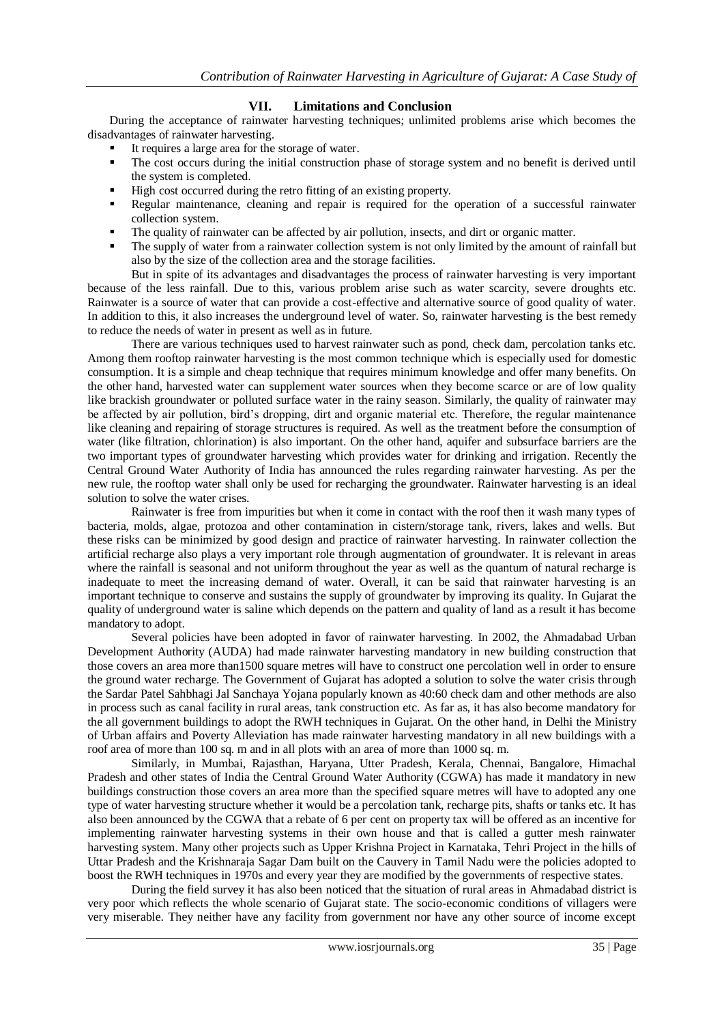## **VII. Limitations and Conclusion**

During the acceptance of rainwater harvesting techniques; unlimited problems arise which becomes the disadvantages of rainwater harvesting.

- It requires a large area for the storage of water.
- The cost occurs during the initial construction phase of storage system and no benefit is derived until the system is completed.
- High cost occurred during the retro fitting of an existing property.
- Regular maintenance, cleaning and repair is required for the operation of a successful rainwater collection system.
- The quality of rainwater can be affected by air pollution, insects, and dirt or organic matter.
- The supply of water from a rainwater collection system is not only limited by the amount of rainfall but also by the size of the collection area and the storage facilities.

But in spite of its advantages and disadvantages the process of rainwater harvesting is very important because of the less rainfall. Due to this, various problem arise such as water scarcity, severe droughts etc. Rainwater is a source of water that can provide a cost-effective and alternative source of good quality of water. In addition to this, it also increases the underground level of water. So, rainwater harvesting is the best remedy to reduce the needs of water in present as well as in future.

There are various techniques used to harvest rainwater such as pond, check dam, percolation tanks etc. Among them rooftop rainwater harvesting is the most common technique which is especially used for domestic consumption. It is a simple and cheap technique that requires minimum knowledge and offer many benefits. On the other hand, harvested water can supplement water sources when they become scarce or are of low quality like brackish groundwater or polluted surface water in the rainy season. Similarly, the quality of rainwater may be affected by air pollution, bird's dropping, dirt and organic material etc. Therefore, the regular maintenance like cleaning and repairing of storage structures is required. As well as the treatment before the consumption of water (like filtration, chlorination) is also important. On the other hand, aquifer and subsurface barriers are the two important types of groundwater harvesting which provides water for drinking and irrigation. Recently the Central Ground Water Authority of India has announced the rules regarding rainwater harvesting. As per the new rule, the rooftop water shall only be used for recharging the groundwater. Rainwater harvesting is an ideal solution to solve the water crises.

Rainwater is free from impurities but when it come in contact with the roof then it wash many types of bacteria, molds, algae, protozoa and other contamination in cistern/storage tank, rivers, lakes and wells. But these risks can be minimized by good design and practice of rainwater harvesting. In rainwater collection the artificial recharge also plays a very important role through augmentation of groundwater. It is relevant in areas where the rainfall is seasonal and not uniform throughout the year as well as the quantum of natural recharge is inadequate to meet the increasing demand of water. Overall, it can be said that rainwater harvesting is an important technique to conserve and sustains the supply of groundwater by improving its quality. In Gujarat the quality of underground water is saline which depends on the pattern and quality of land as a result it has become mandatory to adopt.

Several policies have been adopted in favor of rainwater harvesting. In 2002, the Ahmadabad Urban Development Authority (AUDA) had made rainwater harvesting mandatory in new building construction that those covers an area more than1500 square metres will have to construct one percolation well in order to ensure the ground water recharge. The Government of Gujarat has adopted a solution to solve the water crisis through the Sardar Patel Sahbhagi Jal Sanchaya Yojana popularly known as 40:60 check dam and other methods are also in process such as canal facility in rural areas, tank construction etc. As far as, it has also become mandatory for the all government buildings to adopt the RWH techniques in Gujarat. On the other hand, in Delhi the Ministry of Urban affairs and Poverty Alleviation has made rainwater harvesting mandatory in all new buildings with a roof area of more than 100 sq. m and in all plots with an area of more than 1000 sq. m.

Similarly, in Mumbai, Rajasthan, Haryana, Utter Pradesh, Kerala, Chennai, Bangalore, Himachal Pradesh and other states of India the Central Ground Water Authority (CGWA) has made it mandatory in new buildings construction those covers an area more than the specified square metres will have to adopted any one type of water harvesting structure whether it would be a percolation tank, recharge pits, shafts or tanks etc. It has also been announced by the CGWA that a rebate of 6 per cent on property tax will be offered as an incentive for implementing rainwater harvesting systems in their own house and that is called a gutter mesh rainwater harvesting system. Many other projects such as Upper Krishna Project in Karnataka, Tehri Project in the hills of Uttar Pradesh and the Krishnaraja Sagar Dam built on the Cauvery in Tamil Nadu were the policies adopted to boost the RWH techniques in 1970s and every year they are modified by the governments of respective states.

During the field survey it has also been noticed that the situation of rural areas in Ahmadabad district is very poor which reflects the whole scenario of Gujarat state. The socio-economic conditions of villagers were very miserable. They neither have any facility from government nor have any other source of income except